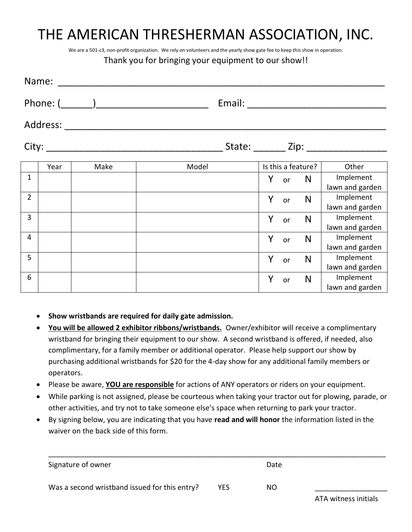## THE AMERICAN THRESHERMAN ASSOCIATION, INC.

We are a 501-c3, non-profit organization. We rely on volunteers and the yearly show gate fee to keep this show in operation.

#### Thank you for bringing your equipment to our show!!

|                | Name:    |      |       |                                        |    |                    |                              |  |
|----------------|----------|------|-------|----------------------------------------|----|--------------------|------------------------------|--|
|                |          |      |       |                                        |    |                    |                              |  |
|                | Address: |      |       |                                        |    |                    |                              |  |
|                |          |      |       | State: _______ Zip: __________________ |    |                    |                              |  |
|                | Year     | Make | Model |                                        |    | Is this a feature? | Other                        |  |
| $\mathbf 1$    |          |      |       | Y                                      | or | N                  | Implement<br>lawn and garden |  |
| $\overline{2}$ |          |      |       | Y                                      | or | N                  | Implement<br>lawn and garden |  |
| 3              |          |      |       | Y                                      | or | N                  | Implement<br>lawn and garden |  |
| $\overline{4}$ |          |      |       | Y                                      | or | N                  | Implement<br>lawn and garden |  |
| 5              |          |      |       | Y                                      | or | N                  | Implement<br>lawn and garden |  |
| 6              |          |      |       | Y                                      | or | N                  | Implement                    |  |
|                |          |      |       |                                        |    |                    | lawn and garden              |  |

- **Show wristbands are required for daily gate admission.**
- **You will be allowed 2 exhibitor ribbons/wristbands.** Owner/exhibitor will receive a complimentary wristband for bringing their equipment to our show. A second wristband is offered, if needed, also complimentary, for a family member or additional operator. Please help support our show by purchasing additional wristbands for \$20 for the 4-day show for any additional family members or operators.
- Please be aware, **YOU are responsible** for actions of ANY operators or riders on your equipment.
- While parking is not assigned, please be courteous when taking your tractor out for plowing, parade, or other activities, and try not to take someone else's space when returning to park your tractor.
- By signing below, you are indicating that you have **read and will honor** the information listed in the waiver on the back side of this form.

| Signature of owner                            |            | Date |                      |
|-----------------------------------------------|------------|------|----------------------|
| Was a second wristband issued for this entry? | <b>YES</b> | NO.  |                      |
|                                               |            |      | ATA witness initials |